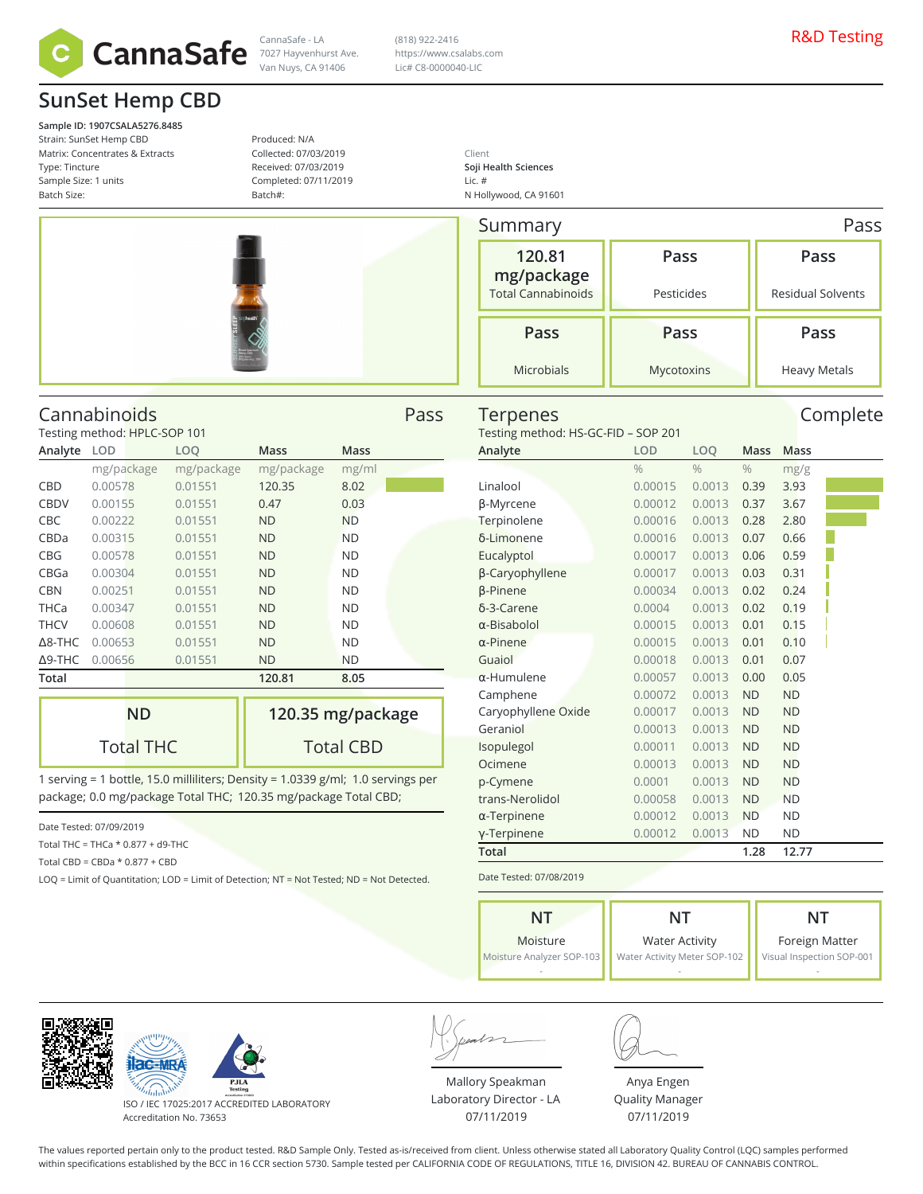

**SunSet Hemp CBD**

**Sample ID: 1907CSALA5276.8485** Strain: SunSet Hemp CBD Matrix: Concentrates & Extracts Type: Tincture Sample Size: 1 units Batch Size:

Produced: N/A Collected: 07/03/2019 Received: 07/03/2019 Completed: 07/11/2019 Batch#:

(818) 922-2416 https://www.csalabs.com Lic# C8-0000040-LIC

Client **Soji Health Sciences** Lic. # N Hollywood, CA 91601

| Summary<br>120.81<br>mg/package<br><b>Total Cannabinoids</b> |
|--------------------------------------------------------------|
| Pass                                                         |
| Microbials                                                   |

Summary **Research Summary** Pass **Pass** Pesticides **Pass** Residual Solvents **Pass** Mycotoxins **Pass** Heavy Metals

Terpenes Complete

### Cannabinoids Pass

Testing method: HPLC-SOP 101

| Analyte        | <b>LOD</b> | LOQ        | Mass       | <b>Mass</b> |
|----------------|------------|------------|------------|-------------|
|                | mg/package | mg/package | mg/package | mg/ml       |
| CBD            | 0.00578    | 0.01551    | 120.35     | 8.02        |
| <b>CBDV</b>    | 0.00155    | 0.01551    | 0.47       | 0.03        |
| <b>CBC</b>     | 0.00222    | 0.01551    | <b>ND</b>  | <b>ND</b>   |
| CBDa           | 0.00315    | 0.01551    | <b>ND</b>  | <b>ND</b>   |
| <b>CBG</b>     | 0.00578    | 0.01551    | <b>ND</b>  | <b>ND</b>   |
| CBGa           | 0.00304    | 0.01551    | <b>ND</b>  | <b>ND</b>   |
| <b>CBN</b>     | 0.00251    | 0.01551    | <b>ND</b>  | <b>ND</b>   |
| <b>THCa</b>    | 0.00347    | 0.01551    | <b>ND</b>  | <b>ND</b>   |
| <b>THCV</b>    | 0.00608    | 0.01551    | <b>ND</b>  | <b>ND</b>   |
| $\Delta$ 8-THC | 0.00653    | 0.01551    | <b>ND</b>  | <b>ND</b>   |
| $\Delta$ 9-THC | 0.00656    | 0.01551    | <b>ND</b>  | <b>ND</b>   |
| Total          |            |            | 120.81     | 8.05        |
|                |            |            |            |             |

| ND               | 120.35 mg/package |
|------------------|-------------------|
| <b>Total THC</b> | <b>Total CBD</b>  |

1 serving = 1 bottle, 15.0 milliliters; Density = 1.0339 g/ml; 1.0 servings per package; 0.0 mg/package Total THC; 120.35 mg/package Total CBD;

Date Tested: 07/09/2019

Total THC = THCa \* 0.877 + d9-THC

Total CBD = CBDa \* 0.877 + CBD

LOQ = Limit of Quantitation; LOD = Limit of Detection; NT = Not Tested; ND = Not Detected.

| Testing method: HS-GC-FID - SOP 201 |               |               |               |             |  |  |  |  |  |
|-------------------------------------|---------------|---------------|---------------|-------------|--|--|--|--|--|
| Analyte                             | <b>LOD</b>    | LOO           | Mass          | <b>Mass</b> |  |  |  |  |  |
|                                     | $\frac{0}{0}$ | $\frac{0}{0}$ | $\frac{0}{0}$ | mg/g        |  |  |  |  |  |
| Linalool                            | 0.00015       | 0.0013        | 0.39          | 3.93        |  |  |  |  |  |
| β-Myrcene                           | 0.00012       | 0.0013        | 0.37          | 3.67        |  |  |  |  |  |
| Terpinolene                         | 0.00016       | 0.0013        | 0.28          | 2.80        |  |  |  |  |  |
| δ-Limonene                          | 0.00016       | 0.0013        | 0.07          | 0.66        |  |  |  |  |  |
| Eucalyptol                          | 0.00017       | 0.0013        | 0.06          | 0.59        |  |  |  |  |  |
| β-Caryophyllene                     | 0.00017       | 0.0013        | 0.03          | 0.31        |  |  |  |  |  |
| <b>B-Pinene</b>                     | 0.00034       | 0.0013        | 0.02          | 0.24        |  |  |  |  |  |
| δ-3-Carene                          | 0.0004        | 0.0013        | 0.02          | 0.19        |  |  |  |  |  |
| $\alpha$ -Bisabolol                 | 0.00015       | 0.0013        | 0.01          | 0.15        |  |  |  |  |  |
| $\alpha$ -Pinene                    | 0.00015       | 0.0013        | 0.01          | 0.10        |  |  |  |  |  |
| Guaiol                              | 0.00018       | 0.0013        | 0.01          | 0.07        |  |  |  |  |  |
| $\alpha$ -Humulene                  | 0.00057       | 0.0013        | 0.00          | 0.05        |  |  |  |  |  |
| Camphene                            | 0.00072       | 0.0013        | <b>ND</b>     | <b>ND</b>   |  |  |  |  |  |
| Caryophyllene Oxide                 | 0.00017       | 0.0013        | <b>ND</b>     | <b>ND</b>   |  |  |  |  |  |
| Geraniol                            | 0.00013       | 0.0013        | <b>ND</b>     | <b>ND</b>   |  |  |  |  |  |
| Isopulegol                          | 0.00011       | 0.0013        | <b>ND</b>     | <b>ND</b>   |  |  |  |  |  |
| Ocimene                             | 0.00013       | 0.0013        | <b>ND</b>     | <b>ND</b>   |  |  |  |  |  |
| p-Cymene                            | 0.0001        | 0.0013        | <b>ND</b>     | <b>ND</b>   |  |  |  |  |  |
| trans-Nerolidol                     | 0.00058       | 0.0013        | <b>ND</b>     | <b>ND</b>   |  |  |  |  |  |
| $\alpha$ -Terpinene                 | 0.00012       | 0.0013        | <b>ND</b>     | <b>ND</b>   |  |  |  |  |  |
| γ-Terpinene                         | 0.00012       | 0.0013        | ND            | <b>ND</b>   |  |  |  |  |  |
| <b>Total</b>                        |               |               | 1.28          | 12.77       |  |  |  |  |  |
|                                     |               |               |               |             |  |  |  |  |  |

Date Tested: 07/08/2019

| NT                        | NT                           |                           |
|---------------------------|------------------------------|---------------------------|
| Moisture                  | <b>Water Activity</b>        | Foreign Matter            |
| Moisture Analyzer SOP-103 | Water Activity Meter SOP-102 | Visual Inspection SOP-001 |
|                           |                              |                           |





ISO / IEC 17025:2017 ACCREDITED LABORATORY Accreditation No. 73653

Mallory Speakman Laboratory Director - LA 07/11/2019



Anya Engen Quality Manager 07/11/2019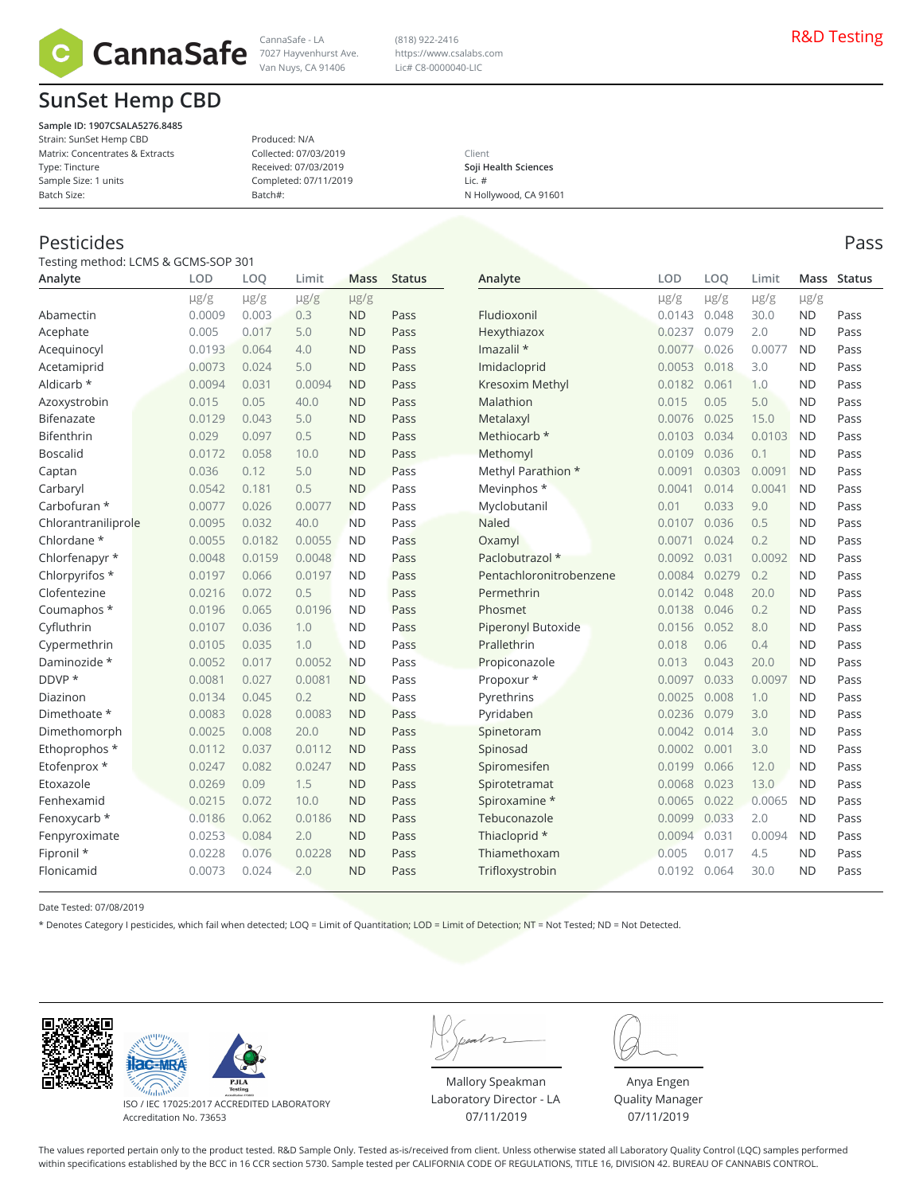

7027 Hayvenhurst Ave.

Van Nuys, CA 91406

# **SunSet Hemp CBD**

**Sample ID: 1907CSALA5276.8485** Strain: SunSet Hemp CBD Matrix: Concentrates & Extracts Type: Tincture Sample Size: 1 units Batch Size:

#### Produced: N/A Collected: 07/03/2019 Received: 07/03/2019 Completed: 07/11/2019 Batch#:

#### Client **Soji Health Sciences** Lic. # N Hollywood, CA 91601

(818) 922-2416 https://www.csalabs.com Lic# C8-0000040-LIC

### Pesticides Pass

Testing method: LCMS & GCMS-SOP 301

| Analyte             | LOD       | LOQ       | Limit     | <b>Mass</b> | <b>Status</b> | Analyte                   | LOD       | LOO       | Limit     |           | Mass Status |
|---------------------|-----------|-----------|-----------|-------------|---------------|---------------------------|-----------|-----------|-----------|-----------|-------------|
|                     | $\mu$ g/g | $\mu$ g/g | $\mu$ g/g | $\mu$ g/g   |               |                           | $\mu$ g/g | $\mu$ g/g | $\mu$ g/g | $\mu$ g/g |             |
| Abamectin           | 0.0009    | 0.003     | 0.3       | <b>ND</b>   | Pass          | Fludioxonil               | 0.0143    | 0.048     | 30.0      | <b>ND</b> | Pass        |
| Acephate            | 0.005     | 0.017     | 5.0       | <b>ND</b>   | Pass          | Hexythiazox               | 0.0237    | 0.079     | 2.0       | <b>ND</b> | Pass        |
| Acequinocyl         | 0.0193    | 0.064     | 4.0       | <b>ND</b>   | Pass          | Imazalil *                | 0.0077    | 0.026     | 0.0077    | <b>ND</b> | Pass        |
| Acetamiprid         | 0.0073    | 0.024     | 5.0       | <b>ND</b>   | Pass          | Imidacloprid              | 0.0053    | 0.018     | 3.0       | <b>ND</b> | Pass        |
| Aldicarb *          | 0.0094    | 0.031     | 0.0094    | <b>ND</b>   | Pass          | Kresoxim Methyl           | 0.0182    | 0.061     | 1.0       | <b>ND</b> | Pass        |
| Azoxystrobin        | 0.015     | 0.05      | 40.0      | <b>ND</b>   | Pass          | Malathion                 | 0.015     | 0.05      | 5.0       | <b>ND</b> | Pass        |
| Bifenazate          | 0.0129    | 0.043     | 5.0       | <b>ND</b>   | Pass          | Metalaxyl                 | 0.0076    | 0.025     | 15.0      | <b>ND</b> | Pass        |
| Bifenthrin          | 0.029     | 0.097     | 0.5       | <b>ND</b>   | Pass          | Methiocarb *              | 0.0103    | 0.034     | 0.0103    | <b>ND</b> | Pass        |
| <b>Boscalid</b>     | 0.0172    | 0.058     | 10.0      | <b>ND</b>   | Pass          | Methomyl                  | 0.0109    | 0.036     | 0.1       | <b>ND</b> | Pass        |
| Captan              | 0.036     | 0.12      | 5.0       | <b>ND</b>   | Pass          | Methyl Parathion *        | 0.0091    | 0.0303    | 0.0091    | <b>ND</b> | Pass        |
| Carbaryl            | 0.0542    | 0.181     | 0.5       | <b>ND</b>   | Pass          | Mevinphos *               | 0.0041    | 0.014     | 0.0041    | <b>ND</b> | Pass        |
| Carbofuran *        | 0.0077    | 0.026     | 0.0077    | <b>ND</b>   | Pass          | Myclobutanil              | 0.01      | 0.033     | 9.0       | <b>ND</b> | Pass        |
| Chlorantraniliprole | 0.0095    | 0.032     | 40.0      | <b>ND</b>   | Pass          | <b>Naled</b>              | 0.0107    | 0.036     | 0.5       | <b>ND</b> | Pass        |
| Chlordane *         | 0.0055    | 0.0182    | 0.0055    | <b>ND</b>   | Pass          | Oxamyl                    | 0.0071    | 0.024     | 0.2       | <b>ND</b> | Pass        |
| Chlorfenapyr *      | 0.0048    | 0.0159    | 0.0048    | <b>ND</b>   | Pass          | Paclobutrazol *           | 0.0092    | 0.031     | 0.0092    | <b>ND</b> | Pass        |
| Chlorpyrifos *      | 0.0197    | 0.066     | 0.0197    | <b>ND</b>   | Pass          | Pentachloronitrobenzene   | 0.0084    | 0.0279    | 0.2       | <b>ND</b> | Pass        |
| Clofentezine        | 0.0216    | 0.072     | 0.5       | <b>ND</b>   | Pass          | Permethrin                | 0.0142    | 0.048     | 20.0      | <b>ND</b> | Pass        |
| Coumaphos *         | 0.0196    | 0.065     | 0.0196    | <b>ND</b>   | Pass          | Phosmet                   | 0.0138    | 0.046     | 0.2       | <b>ND</b> | Pass        |
| Cyfluthrin          | 0.0107    | 0.036     | 1.0       | <b>ND</b>   | Pass          | <b>Piperonyl Butoxide</b> | 0.0156    | 0.052     | 8.0       | <b>ND</b> | Pass        |
| Cypermethrin        | 0.0105    | 0.035     | 1.0       | <b>ND</b>   | Pass          | Prallethrin               | 0.018     | 0.06      | 0.4       | <b>ND</b> | Pass        |
| Daminozide *        | 0.0052    | 0.017     | 0.0052    | <b>ND</b>   | Pass          | Propiconazole             | 0.013     | 0.043     | 20.0      | <b>ND</b> | Pass        |
| DDVP *              | 0.0081    | 0.027     | 0.0081    | <b>ND</b>   | Pass          | Propoxur *                | 0.0097    | 0.033     | 0.0097    | <b>ND</b> | Pass        |
| Diazinon            | 0.0134    | 0.045     | 0.2       | <b>ND</b>   | Pass          | Pyrethrins                | 0.0025    | 0.008     | 1.0       | <b>ND</b> | Pass        |
| Dimethoate *        | 0.0083    | 0.028     | 0.0083    | <b>ND</b>   | Pass          | Pyridaben                 | 0.0236    | 0.079     | 3.0       | <b>ND</b> | Pass        |
| Dimethomorph        | 0.0025    | 0.008     | 20.0      | <b>ND</b>   | Pass          | Spinetoram                | 0.0042    | 0.014     | 3.0       | <b>ND</b> | Pass        |
| Ethoprophos *       | 0.0112    | 0.037     | 0.0112    | <b>ND</b>   | Pass          | Spinosad                  | 0.0002    | 0.001     | 3.0       | <b>ND</b> | Pass        |
| Etofenprox *        | 0.0247    | 0.082     | 0.0247    | <b>ND</b>   | Pass          | Spiromesifen              | 0.0199    | 0.066     | 12.0      | <b>ND</b> | Pass        |
| Etoxazole           | 0.0269    | 0.09      | 1.5       | <b>ND</b>   | Pass          | Spirotetramat             | 0.0068    | 0.023     | 13.0      | <b>ND</b> | Pass        |
| Fenhexamid          | 0.0215    | 0.072     | 10.0      | <b>ND</b>   | Pass          | Spiroxamine *             | 0.0065    | 0.022     | 0.0065    | <b>ND</b> | Pass        |
| Fenoxycarb *        | 0.0186    | 0.062     | 0.0186    | <b>ND</b>   | Pass          | Tebuconazole              | 0.0099    | 0.033     | 2.0       | <b>ND</b> | Pass        |
| Fenpyroximate       | 0.0253    | 0.084     | 2.0       | <b>ND</b>   | Pass          | Thiacloprid *             | 0.0094    | 0.031     | 0.0094    | <b>ND</b> | Pass        |
| Fipronil *          | 0.0228    | 0.076     | 0.0228    | <b>ND</b>   | Pass          | Thiamethoxam              | 0.005     | 0.017     | 4.5       | <b>ND</b> | Pass        |
| Flonicamid          | 0.0073    | 0.024     | 2.0       | <b>ND</b>   | Pass          | Trifloxystrobin           | 0.0192    | 0.064     | 30.0      | <b>ND</b> | Pass        |
|                     |           |           |           |             |               |                           |           |           |           |           |             |

Date Tested: 07/08/2019

\* Denotes Category I pesticides, which fail when detected; LOQ = Limit of Quantitation; LOD = Limit of Detection; NT = Not Tested; ND = Not Detected.





ISO / IEC 17025:2017 ACCREDITED LABORATORY Accreditation No. 73653

Mallory Speakman Laboratory Director - LA 07/11/2019

Anya Engen Quality Manager 07/11/2019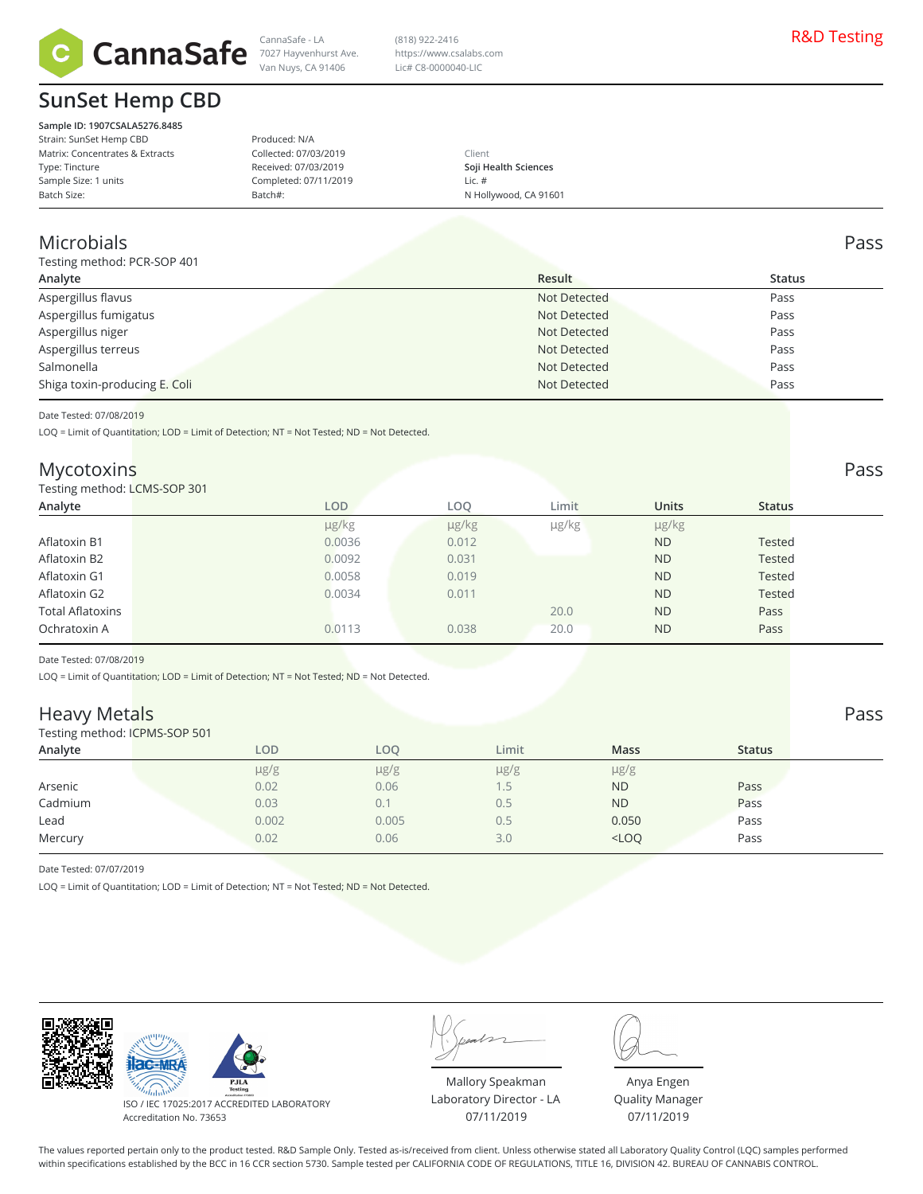

## **SunSet Hemp CBD**

**Sample ID: 1907CSALA5276.8485** Strain: SunSet Hemp CBD Matrix: Concentrates & Extracts Type: Tincture Sample Size: 1 units Batch Size:

Van Nuys, CA 91406 Produced: N/A Collected: 07/03/2019

Received: 07/03/2019 Completed: 07/11/2019

Batch#:

Client **Soji Health Sciences** Lic. # N Hollywood, CA 91601

#### Microbials Pass

Testing method: PCR-SOP 401

| $\frac{1}{2}$ is the measured of $\frac{1}{2}$ |              |        |
|------------------------------------------------|--------------|--------|
| Analyte                                        | Result       | Status |
| Aspergillus flavus                             | Not Detected | Pass   |
| Aspergillus fumigatus                          | Not Detected | Pass   |
| Aspergillus niger                              | Not Detected | Pass   |
| Aspergillus terreus                            | Not Detected | Pass   |
| Salmonella                                     | Not Detected | Pass   |
| Shiga toxin-producing E. Coli                  | Not Detected | Pass   |
|                                                |              |        |

(818) 922-2416 https://www.csalabs.com Lic# C8-0000040-LIC

Date Tested: 07/08/2019

LOQ = Limit of Quantitation; LOD = Limit of Detection; NT = Not Tested; ND = Not Detected.

#### Mycotoxins Pass

#### Testing method: LCMS-SOP 301

| Testing method: LCMS-SOP 301 |            |       |            |              |               |
|------------------------------|------------|-------|------------|--------------|---------------|
| Analyte                      | <b>LOD</b> | LOO   | Limit      | <b>Units</b> | <b>Status</b> |
|                              | µg/kg      | µg/kg | $\mu$ g/kg | $\mu$ g/kg   |               |
| Aflatoxin B1                 | 0.0036     | 0.012 |            | <b>ND</b>    | <b>Tested</b> |
| Aflatoxin B2                 | 0.0092     | 0.031 |            | <b>ND</b>    | <b>Tested</b> |
| Aflatoxin G1                 | 0.0058     | 0.019 |            | <b>ND</b>    | <b>Tested</b> |
| Aflatoxin G2                 | 0.0034     | 0.011 |            | <b>ND</b>    | <b>Tested</b> |
| <b>Total Aflatoxins</b>      |            |       | 20.0       | <b>ND</b>    | Pass          |
| Ochratoxin A                 | 0.0113     | 0.038 | 20.0       | <b>ND</b>    | Pass          |
|                              |            |       |            |              |               |

Date Tested: 07/08/2019

LOQ = Limit of Quantitation; LOD = Limit of Detection; NT = Not Tested; ND = Not Detected.

#### Heavy Metals Pass

Testing method: ICPMS-SOP 501

| $\frac{1}{2}$ |           |           |           |             |               |
|---------------|-----------|-----------|-----------|-------------|---------------|
| Analyte       | LOD       | LOO       | Limit     | <b>Mass</b> | <b>Status</b> |
|               | $\mu$ g/g | $\mu$ g/g | $\mu$ g/g | µg/g        |               |
| Arsenic       | 0.02      | 0.06      | L.5       | <b>ND</b>   | Pass          |
| Cadmium       | 0.03      | 0.1       | 0.5       | <b>ND</b>   | Pass          |
| Lead          | 0.002     | 0.005     | U.5       | 0.050       | Pass          |
| Mercury       | 0.02      | 0.06      | 3.0       | $<$ LOQ     | Pass          |
|               |           |           |           |             |               |

Date Tested: 07/07/2019

LOQ = Limit of Quantitation; LOD = Limit of Detection; NT = Not Tested; ND = Not Detected.



PJL

ISO / IEC 17025:2017 ACCREDITED LABORATORY Accreditation No. 73653

Mallory Speakman Laboratory Director - LA 07/11/2019

Anya Engen Quality Manager 07/11/2019